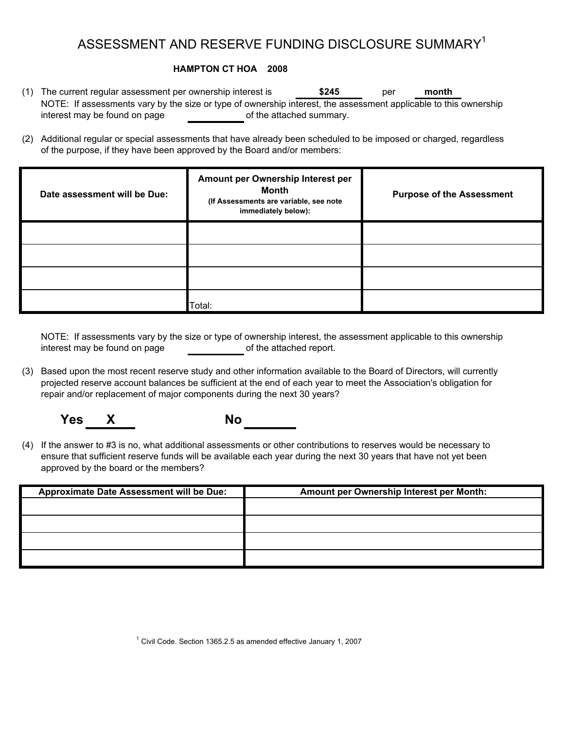## ASSESSMENT AND RESERVE FUNDING DISCLOSURE SUMMARY<sup>1</sup>

## HAMPTON CT HOA 2008

| (1) The current regular assessment per ownership interest is                                                     |                          | \$245 | per | month |  |
|------------------------------------------------------------------------------------------------------------------|--------------------------|-------|-----|-------|--|
| NOTE: If assessments vary by the size or type of ownership interest, the assessment applicable to this ownership |                          |       |     |       |  |
| interest may be found on page                                                                                    | of the attached summary. |       |     |       |  |

(2) Additional regular or special assessments that have already been scheduled to be imposed or charged, regardless of the purpose, if they have been approved by the Board and/or members:

| Date assessment will be Due: | Amount per Ownership Interest per<br><b>Month</b><br>(If Assessments are variable, see note<br>immediately below): | <b>Purpose of the Assessment</b> |
|------------------------------|--------------------------------------------------------------------------------------------------------------------|----------------------------------|
|                              |                                                                                                                    |                                  |
|                              |                                                                                                                    |                                  |
|                              |                                                                                                                    |                                  |
|                              | Total:                                                                                                             |                                  |

NOTE: If assessments vary by the size or type of ownership interest, the assessment applicable to this ownership interest may be found on page of the attached report.

(3) Based upon the most recent reserve study and other information available to the Board of Directors, will currently projected reserve account balances be sufficient at the end of each year to meet the Association's obligation for repair and/or replacement of major components during the next 30 years?

Yes X No <u>\_\_\_\_\_\_</u>

(4) If the answer to #3 is no, what additional assessments or other contributions to reserves would be necessary to ensure that sufficient reserve funds will be available each year during the next 30 years that have not yet been approved by the board or the members?

| <b>Approximate Date Assessment will be Due:</b> | Amount per Ownership Interest per Month: |
|-------------------------------------------------|------------------------------------------|
|                                                 |                                          |
|                                                 |                                          |
|                                                 |                                          |
|                                                 |                                          |

 $1$  Civil Code. Section 1365.2.5 as amended effective January 1, 2007